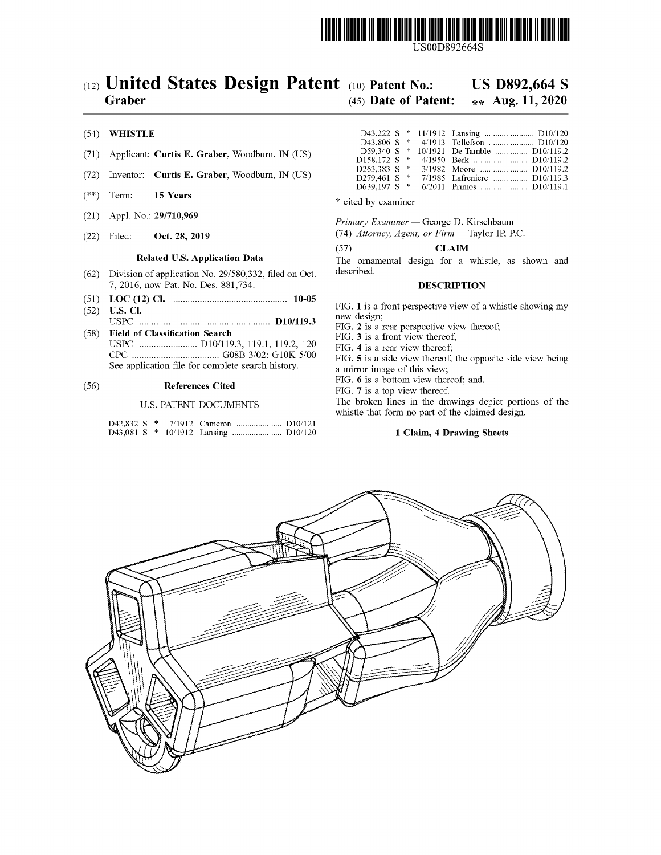

USOOD8926645

# $(12)$  United States Design Patent  $(10)$  Patent No.: US D892,664 S

# Graber (45) Date of Patent:  $\star \star$  Aug. 11, 2020

### (54) WHISTLE

- (71) Applicant: Curtis E. Graber, Woodburn, IN (US)
- (72) Inventor: Curtis E. Graber, Woodburn, IN (US)
- (\*\*) Term:  $15 \text{ Years}$  \* cited by examiner
- (21) Appl. No.: 29/710,969
- (22) Filed: Oct. 28, 2019

### Related U.S. Application Data

- $(62)$  Division of application No. 29/580, 332, filed on Oct. 7, 2016, now Pat. No. Des. 881,734.
- 
- ( 51 ) LOC ( 12 ) Cl . 10-05
- ( 52 ) U.S. CI . USPC D10 / 119.3 (58) Field of Classification Search
- USPC D10 / 119.3 , 119.1 , 119.2 , 120 ??? GO8B 3/02 ; GIOK 5/00 See application file for complete search history.

## (56) References Cited

#### U.S. PATENT DOCUMENTS

|  |  | D42,832 S * 7/1912 Cameron  D10/121 |  |
|--|--|-------------------------------------|--|
|  |  |                                     |  |

| D59.340 S $*$  |  | 10/1921 De Tamble  D10/119.2 |
|----------------|--|------------------------------|
| D158,172 S *   |  |                              |
| $D263.383 S$ * |  |                              |
| D279.461 S *   |  | 7/1985 Lafreniere  D10/119.3 |
| D639.197 S *   |  | 6/2011 Primos  D10/119.1     |

Primary Examiner - George D. Kirschbaum

(74) Attorney, Agent, or  $Firm$  - Taylor IP, P.C.

 $(57)$  CLAIM

The ornamental design for a whistle, as shown and described.

#### DESCRIPTION

FIG. 1 is a front perspective view of a whistle showing my new design;

FIG. 2 is a rear perspective view thereof;

FIG. 3 is a front view thereof;

FIG. 4 is a rear view thereof;

FIG. 5 is a side view thereof, the opposite side view being a mirror image of this view;<br>FIG. 6 is a bottom view thereof; and,

FIG. 7 is a top view thereof.<br>The broken lines in the drawings depict portions of the whistle that form no part of the claimed design.

#### 1 Claim, 4 Drawing Sheets

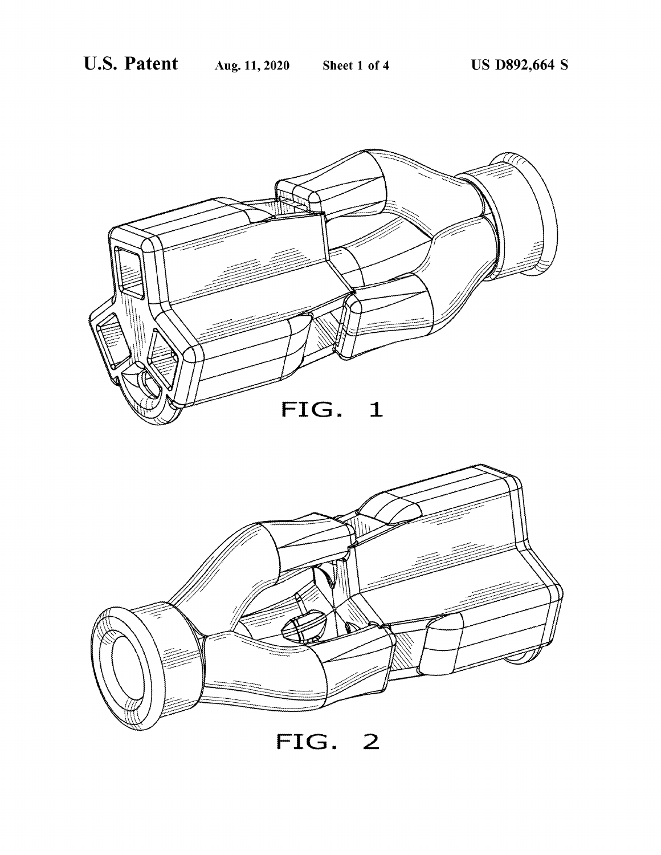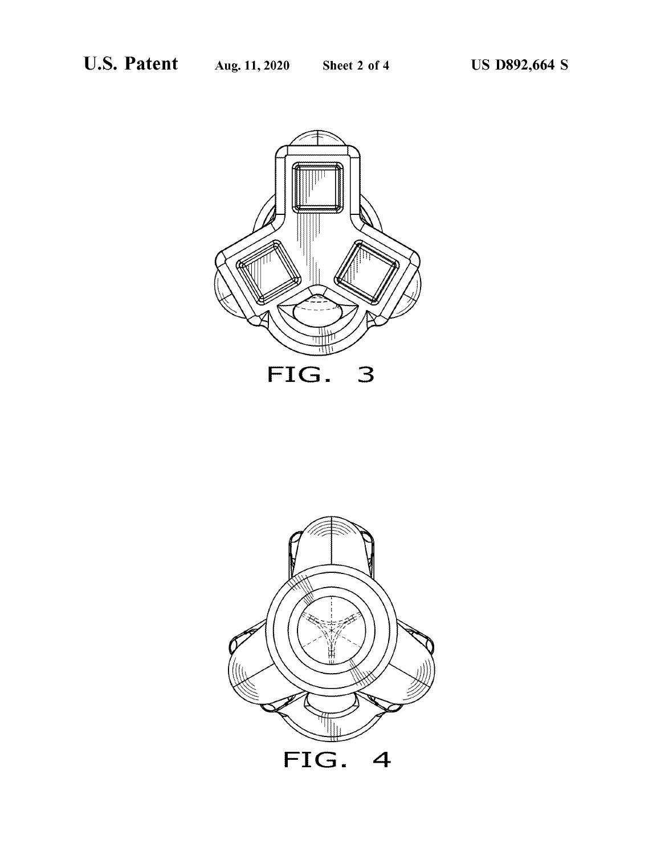

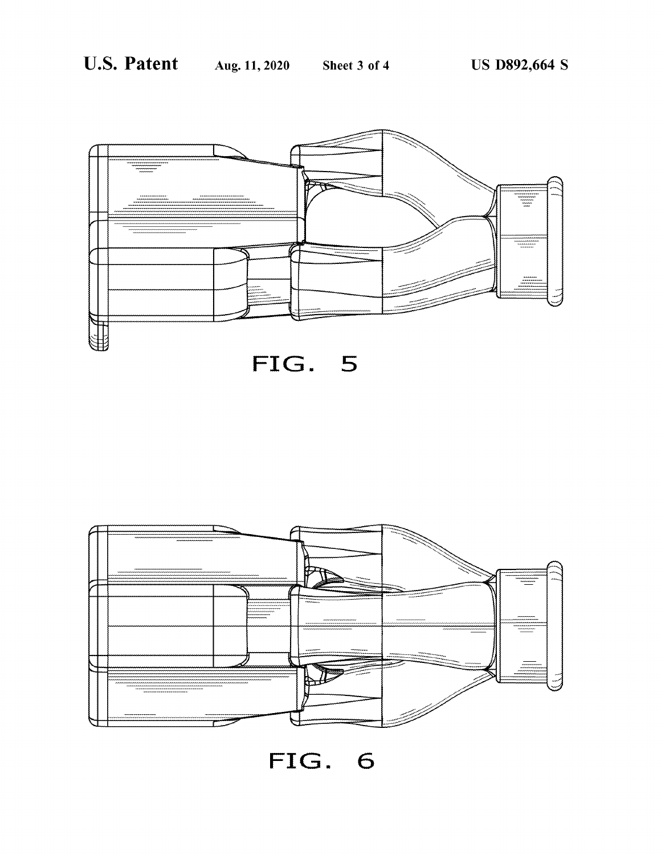





FIG. 6